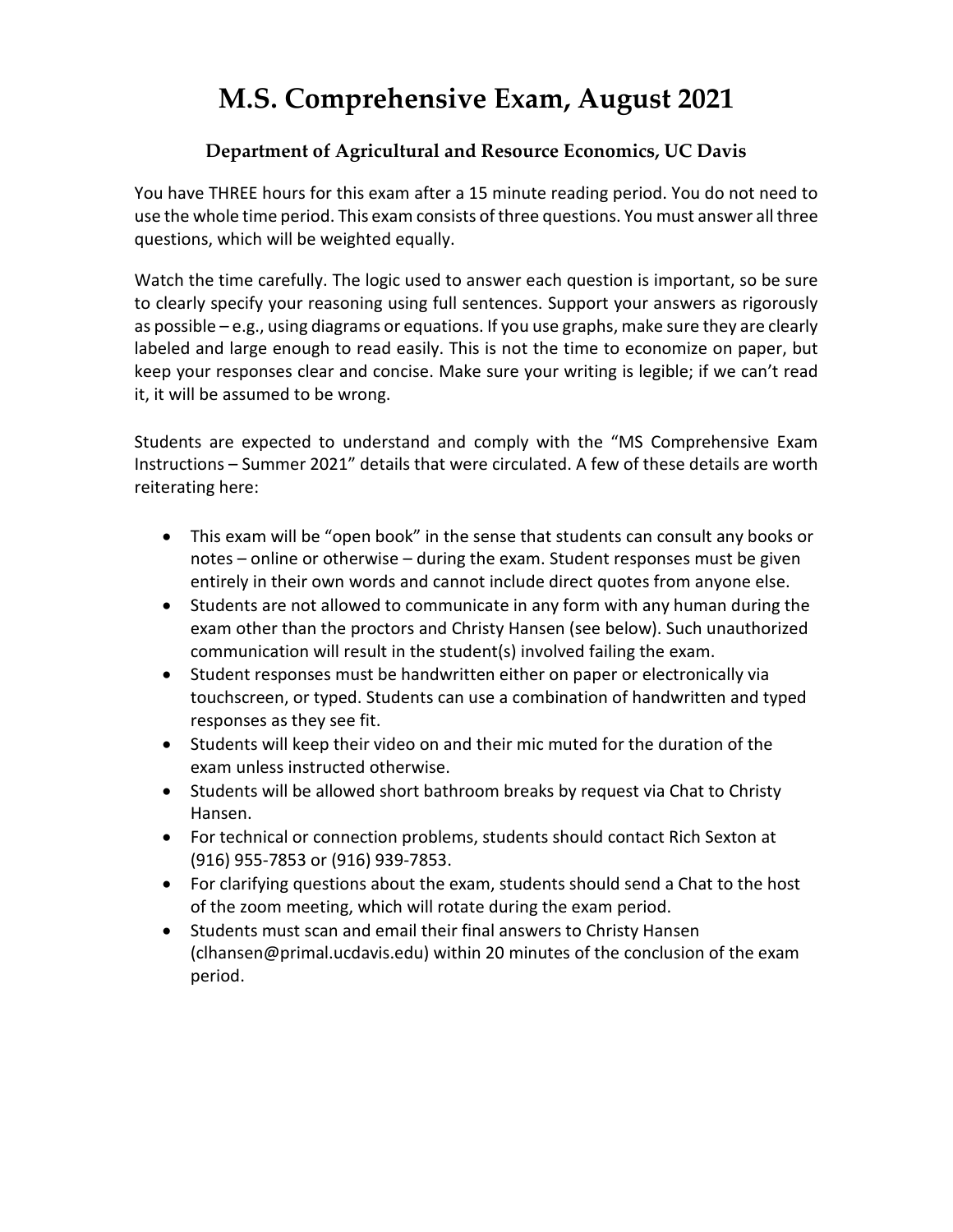# **M.S. Comprehensive Exam, August 2021**

## **Department of Agricultural and Resource Economics, UC Davis**

You have THREE hours for this exam after a 15 minute reading period. You do not need to use the whole time period. This exam consists of three questions. You must answer all three questions, which will be weighted equally.

Watch the time carefully. The logic used to answer each question is important, so be sure to clearly specify your reasoning using full sentences. Support your answers as rigorously as possible – e.g., using diagrams or equations. If you use graphs, make sure they are clearly labeled and large enough to read easily. This is not the time to economize on paper, but keep your responses clear and concise. Make sure your writing is legible; if we can't read it, it will be assumed to be wrong.

Students are expected to understand and comply with the "MS Comprehensive Exam Instructions – Summer 2021" details that were circulated. A few of these details are worth reiterating here:

- This exam will be "open book" in the sense that students can consult any books or notes – online or otherwise – during the exam. Student responses must be given entirely in their own words and cannot include direct quotes from anyone else.
- Students are not allowed to communicate in any form with any human during the exam other than the proctors and Christy Hansen (see below). Such unauthorized communication will result in the student(s) involved failing the exam.
- Student responses must be handwritten either on paper or electronically via touchscreen, or typed. Students can use a combination of handwritten and typed responses as they see fit.
- Students will keep their video on and their mic muted for the duration of the exam unless instructed otherwise.
- Students will be allowed short bathroom breaks by request via Chat to Christy Hansen.
- For technical or connection problems, students should contact Rich Sexton at (916) 955-7853 or (916) 939-7853.
- For clarifying questions about the exam, students should send a Chat to the host of the zoom meeting, which will rotate during the exam period.
- Students must scan and email their final answers to Christy Hansen (clhansen@primal.ucdavis.edu) within 20 minutes of the conclusion of the exam period.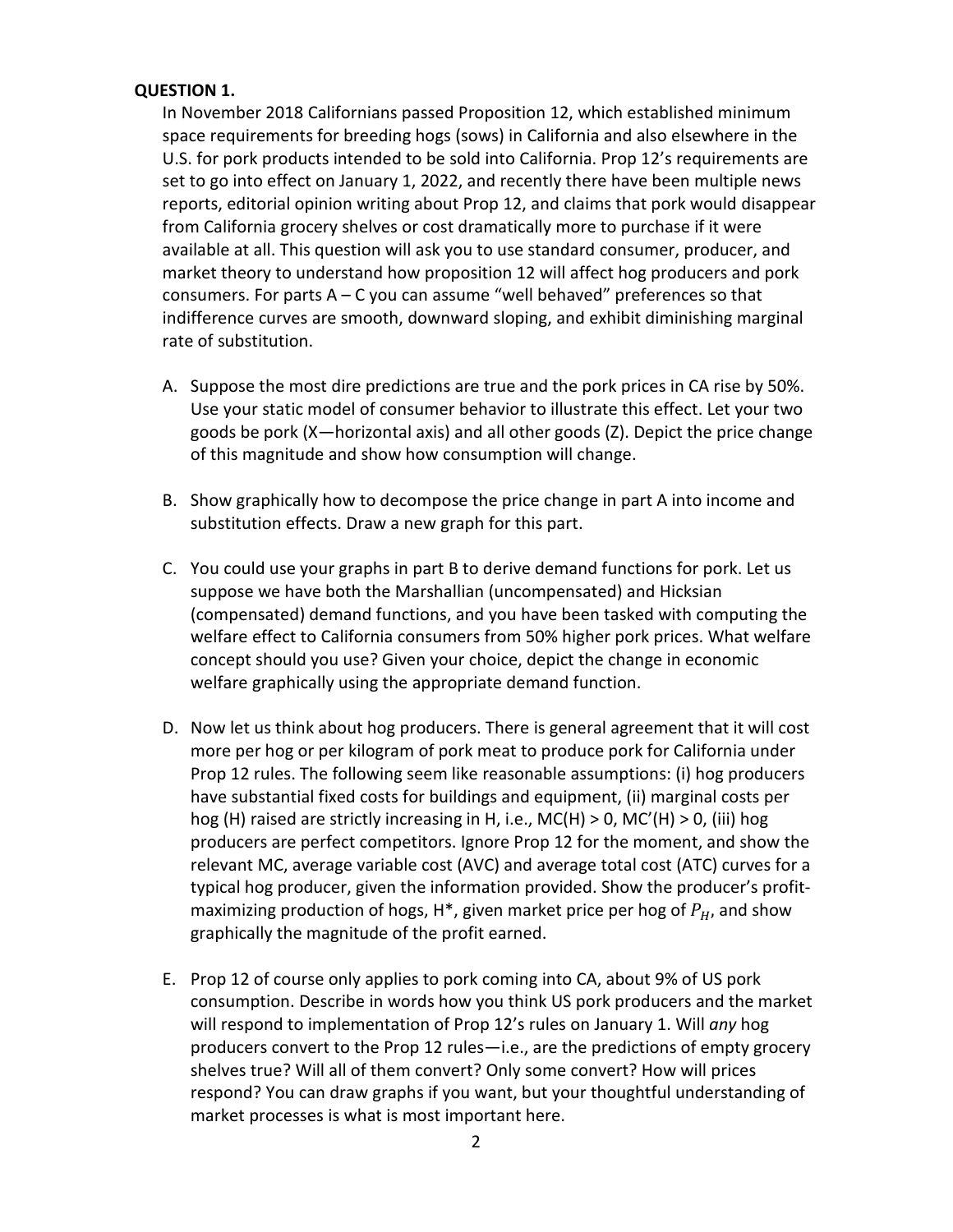#### **QUESTION 1.**

In November 2018 Californians passed Proposition 12, which established minimum space requirements for breeding hogs (sows) in California and also elsewhere in the U.S. for pork products intended to be sold into California. Prop 12's requirements are set to go into effect on January 1, 2022, and recently there have been multiple news reports, editorial opinion writing about Prop 12, and claims that pork would disappear from California grocery shelves or cost dramatically more to purchase if it were available at all. This question will ask you to use standard consumer, producer, and market theory to understand how proposition 12 will affect hog producers and pork consumers. For parts  $A - C$  you can assume "well behaved" preferences so that indifference curves are smooth, downward sloping, and exhibit diminishing marginal rate of substitution.

- A. Suppose the most dire predictions are true and the pork prices in CA rise by 50%. Use your static model of consumer behavior to illustrate this effect. Let your two goods be pork (X—horizontal axis) and all other goods (Z). Depict the price change of this magnitude and show how consumption will change.
- B. Show graphically how to decompose the price change in part A into income and substitution effects. Draw a new graph for this part.
- C. You could use your graphs in part B to derive demand functions for pork. Let us suppose we have both the Marshallian (uncompensated) and Hicksian (compensated) demand functions, and you have been tasked with computing the welfare effect to California consumers from 50% higher pork prices. What welfare concept should you use? Given your choice, depict the change in economic welfare graphically using the appropriate demand function.
- D. Now let us think about hog producers. There is general agreement that it will cost more per hog or per kilogram of pork meat to produce pork for California under Prop 12 rules. The following seem like reasonable assumptions: (i) hog producers have substantial fixed costs for buildings and equipment, (ii) marginal costs per hog (H) raised are strictly increasing in H, i.e., MC(H) > 0, MC'(H) > 0, (iii) hog producers are perfect competitors. Ignore Prop 12 for the moment, and show the relevant MC, average variable cost (AVC) and average total cost (ATC) curves for a typical hog producer, given the information provided. Show the producer's profitmaximizing production of hogs,  $H^*$ , given market price per hog of  $P_H$ , and show graphically the magnitude of the profit earned.
- E. Prop 12 of course only applies to pork coming into CA, about 9% of US pork consumption. Describe in words how you think US pork producers and the market will respond to implementation of Prop 12's rules on January 1. Will *any* hog producers convert to the Prop 12 rules—i.e., are the predictions of empty grocery shelves true? Will all of them convert? Only some convert? How will prices respond? You can draw graphs if you want, but your thoughtful understanding of market processes is what is most important here.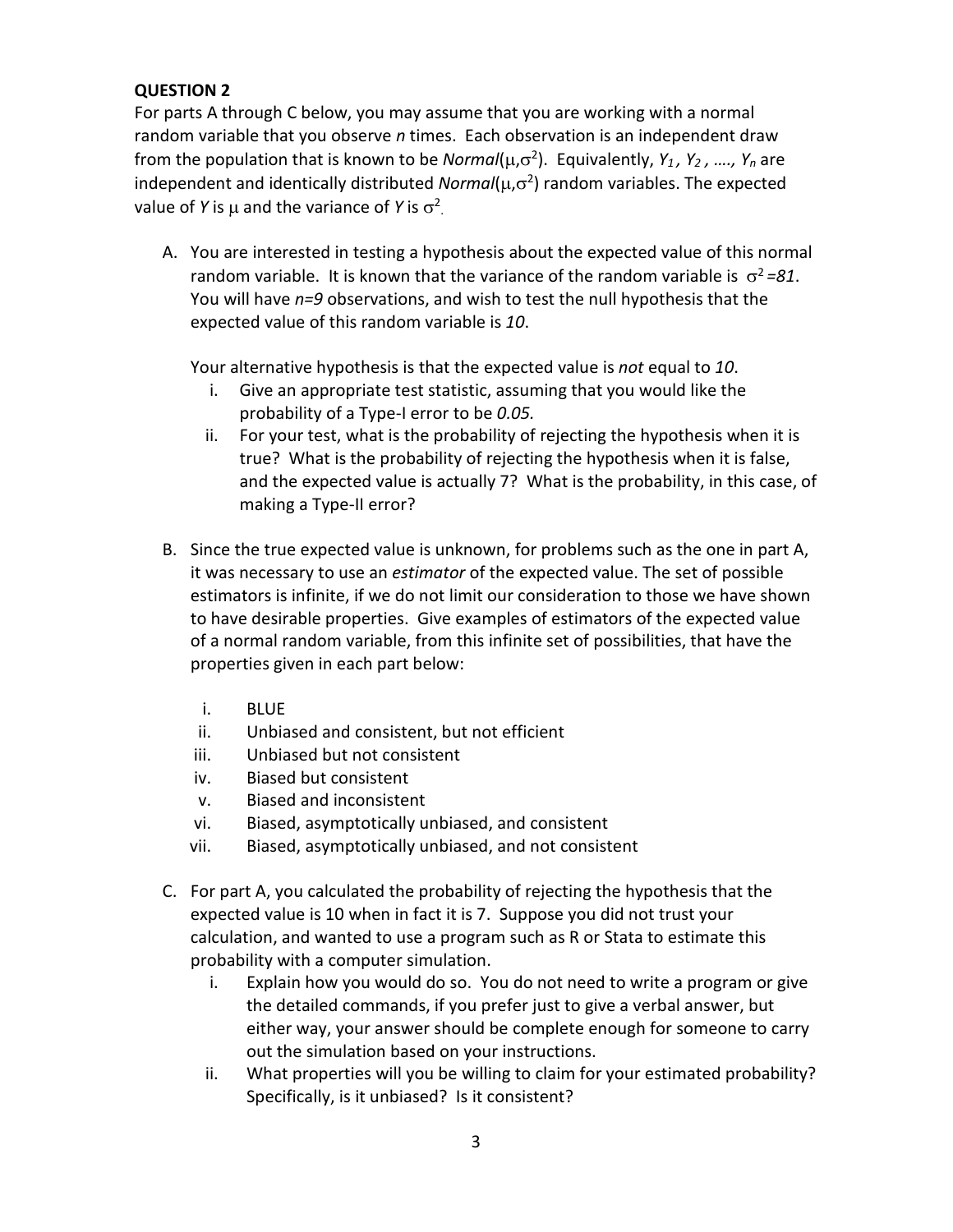### **QUESTION 2**

For parts A through C below, you may assume that you are working with a normal random variable that you observe *n* times. Each observation is an independent draw from the population that is known to be *Normal*(µ,σ2). Equivalently, *Y1 , Y2 , …., Yn* are independent and identically distributed *Normal*( $\mu$ , $\sigma^2$ ) random variables. The expected value of *Y* is  $\mu$  and the variance of *Y* is  $\sigma^2$ .

A. You are interested in testing a hypothesis about the expected value of this normal random variable. It is known that the variance of the random variable is  $\sigma^2 = 81$ . You will have *n=9* observations, and wish to test the null hypothesis that the expected value of this random variable is *10*.

Your alternative hypothesis is that the expected value is *not* equal to *10*.

- i. Give an appropriate test statistic, assuming that you would like the probability of a Type-I error to be *0.05.*
- ii. For your test, what is the probability of rejecting the hypothesis when it is true? What is the probability of rejecting the hypothesis when it is false, and the expected value is actually 7? What is the probability, in this case, of making a Type-II error?
- B. Since the true expected value is unknown, for problems such as the one in part A, it was necessary to use an *estimator* of the expected value. The set of possible estimators is infinite, if we do not limit our consideration to those we have shown to have desirable properties. Give examples of estimators of the expected value of a normal random variable, from this infinite set of possibilities, that have the properties given in each part below:
	- i. BLUE
	- ii. Unbiased and consistent, but not efficient
	- iii. Unbiased but not consistent
	- iv. Biased but consistent
	- v. Biased and inconsistent
	- vi. Biased, asymptotically unbiased, and consistent
	- vii. Biased, asymptotically unbiased, and not consistent
- C. For part A, you calculated the probability of rejecting the hypothesis that the expected value is 10 when in fact it is 7. Suppose you did not trust your calculation, and wanted to use a program such as R or Stata to estimate this probability with a computer simulation.
	- i. Explain how you would do so. You do not need to write a program or give the detailed commands, if you prefer just to give a verbal answer, but either way, your answer should be complete enough for someone to carry out the simulation based on your instructions.
	- ii. What properties will you be willing to claim for your estimated probability? Specifically, is it unbiased? Is it consistent?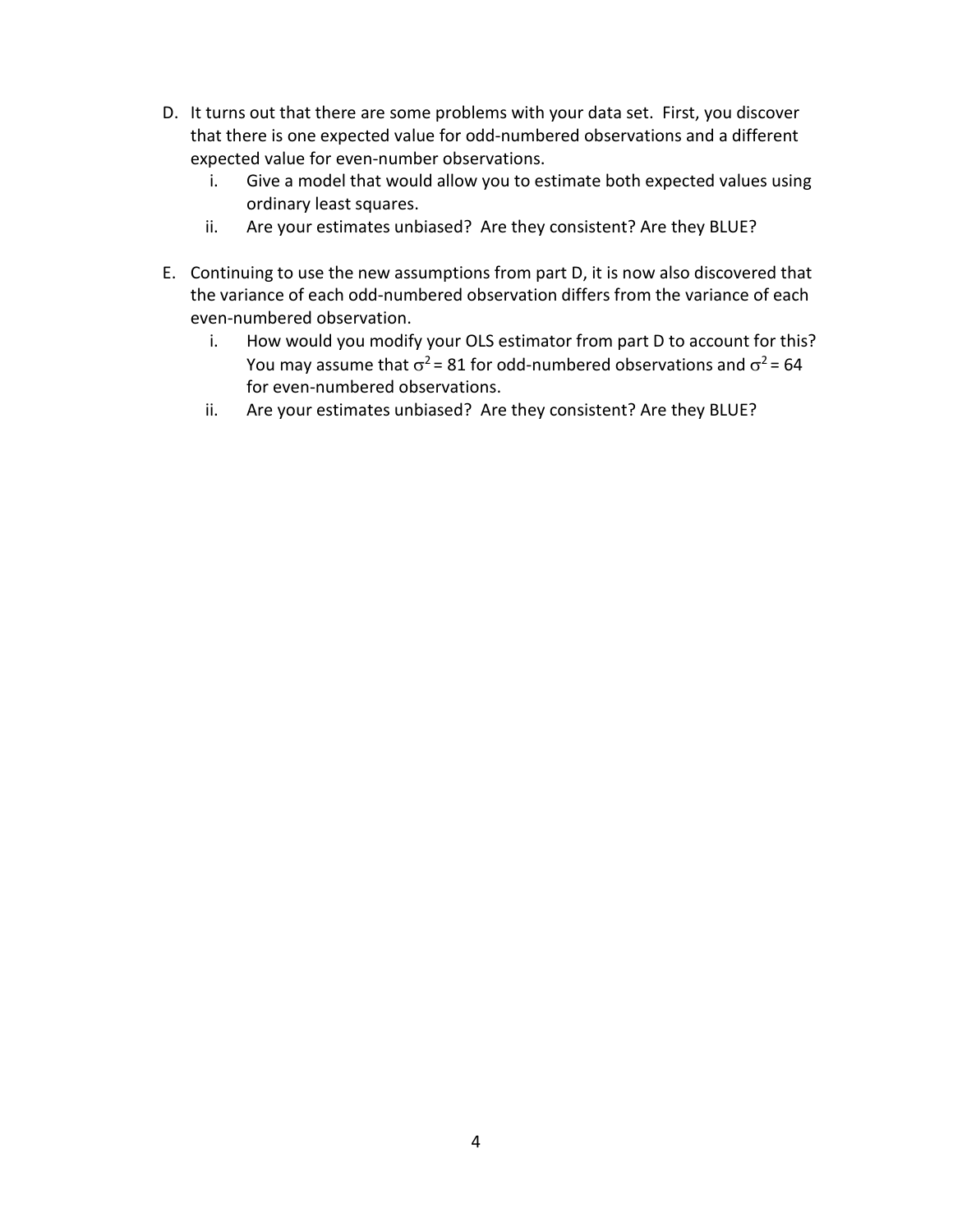- D. It turns out that there are some problems with your data set. First, you discover that there is one expected value for odd-numbered observations and a different expected value for even-number observations.
	- i. Give a model that would allow you to estimate both expected values using ordinary least squares.
	- ii. Are your estimates unbiased? Are they consistent? Are they BLUE?
- E. Continuing to use the new assumptions from part D, it is now also discovered that the variance of each odd-numbered observation differs from the variance of each even-numbered observation.
	- i. How would you modify your OLS estimator from part D to account for this? You may assume that  $\sigma^2$  = 81 for odd-numbered observations and  $\sigma^2$  = 64 for even-numbered observations.
	- ii. Are your estimates unbiased? Are they consistent? Are they BLUE?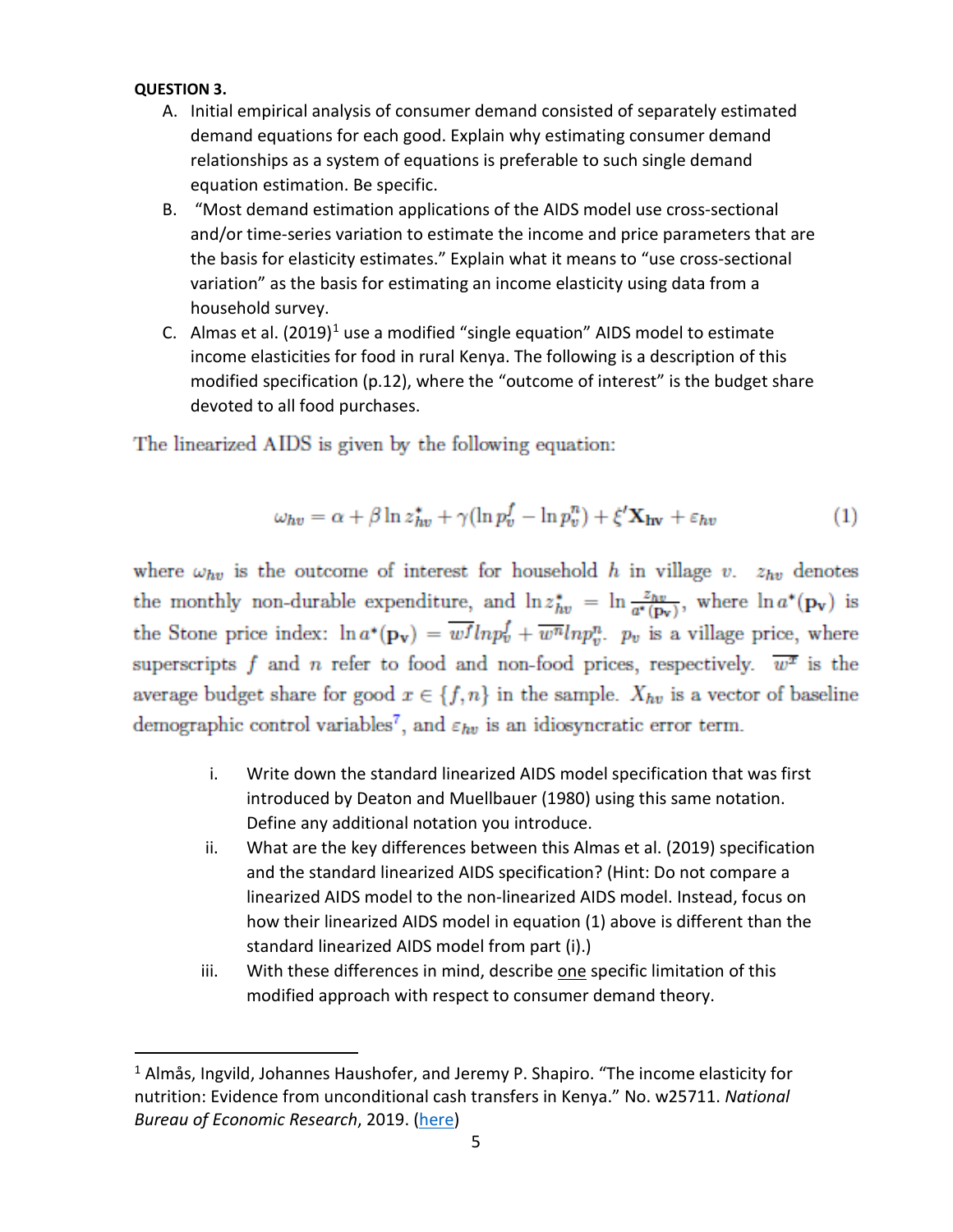#### **QUESTION 3.**

- A. Initial empirical analysis of consumer demand consisted of separately estimated demand equations for each good. Explain why estimating consumer demand relationships as a system of equations is preferable to such single demand equation estimation. Be specific.
- B. "Most demand estimation applications of the AIDS model use cross-sectional and/or time-series variation to estimate the income and price parameters that are the basis for elasticity estimates." Explain what it means to "use cross-sectional variation" as the basis for estimating an income elasticity using data from a household survey.
- C. Almas et al.  $(2019)^1$  $(2019)^1$  $(2019)^1$  use a modified "single equation" AIDS model to estimate income elasticities for food in rural Kenya. The following is a description of this modified specification (p.12), where the "outcome of interest" is the budget share devoted to all food purchases.

The linearized AIDS is given by the following equation:

$$
\omega_{hv} = \alpha + \beta \ln z_{hv}^* + \gamma (\ln p_v^f - \ln p_v^n) + \xi' \mathbf{X}_{hv} + \varepsilon_{hv}
$$
 (1)

where  $\omega_{hv}$  is the outcome of interest for household h in village v.  $z_{hv}$  denotes the monthly non-durable expenditure, and  $\ln z_{hv}^* = \ln \frac{z_{hv}}{a^*(p_v)}$ , where  $\ln a^*(p_v)$  is the Stone price index:  $\ln a^*(p_v) = \overline{w^f} \ln p_v^f + \overline{w^n} \ln p_v^n$ .  $p_v$  is a village price, where superscripts f and n refer to food and non-food prices, respectively.  $\overline{w^2}$  is the average budget share for good  $x \in \{f, n\}$  in the sample.  $X_{hv}$  is a vector of baseline demographic control variables<sup>7</sup>, and  $\varepsilon_{hv}$  is an idiosyncratic error term.

- i. Write down the standard linearized AIDS model specification that was first introduced by Deaton and Muellbauer (1980) using this same notation. Define any additional notation you introduce.
- ii. What are the key differences between this Almas et al. (2019) specification and the standard linearized AIDS specification? (Hint: Do not compare a linearized AIDS model to the non-linearized AIDS model. Instead, focus on how their linearized AIDS model in equation (1) above is different than the standard linearized AIDS model from part (i).)
- iii. With these differences in mind, describe one specific limitation of this modified approach with respect to consumer demand theory.

<span id="page-4-0"></span><sup>&</sup>lt;sup>1</sup> Almås, Ingvild, Johannes Haushofer, and Jeremy P. Shapiro. "The income elasticity for nutrition: Evidence from unconditional cash transfers in Kenya." No. w25711. *National Bureau of Economic Research*, 2019. [\(here\)](https://www.nber.org/papers/w25711)